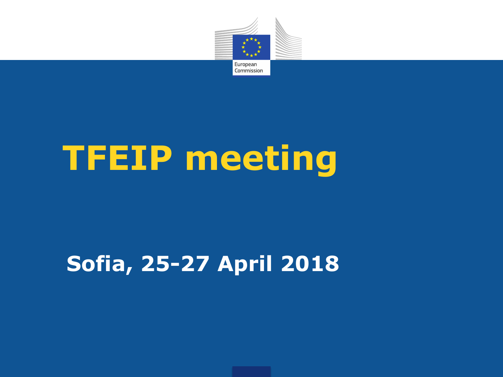

# **TFEIP meeting**

# **Sofia, 25-27 April 2018**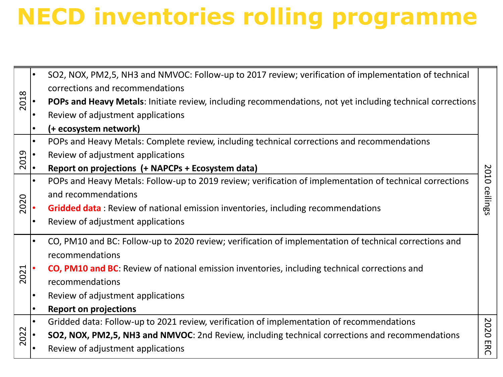# **NECD inventories rolling programme**

| 2018 |           | SO2, NOX, PM2,5, NH3 and NMVOC: Follow-up to 2017 review; verification of implementation of technical      |          |  |  |
|------|-----------|------------------------------------------------------------------------------------------------------------|----------|--|--|
|      |           | corrections and recommendations                                                                            |          |  |  |
|      |           | POPs and Heavy Metals: Initiate review, including recommendations, not yet including technical corrections |          |  |  |
|      |           | Review of adjustment applications                                                                          |          |  |  |
|      |           | (+ ecosystem network)                                                                                      |          |  |  |
| 2019 | $\bullet$ | POPs and Heavy Metals: Complete review, including technical corrections and recommendations                |          |  |  |
|      |           | Review of adjustment applications                                                                          |          |  |  |
|      | I۰        | Report on projections (+ NAPCPs + Ecosystem data)                                                          |          |  |  |
| 2020 | $\bullet$ | POPs and Heavy Metals: Follow-up to 2019 review; verification of implementation of technical corrections   | 2010     |  |  |
|      |           | and recommendations                                                                                        | ceilings |  |  |
|      |           | <b>Gridded data:</b> Review of national emission inventories, including recommendations                    |          |  |  |
|      |           | Review of adjustment applications                                                                          |          |  |  |
| 2021 | $\bullet$ | CO, PM10 and BC: Follow-up to 2020 review; verification of implementation of technical corrections and     |          |  |  |
|      |           | recommendations                                                                                            |          |  |  |
|      |           | <b>CO, PM10 and BC:</b> Review of national emission inventories, including technical corrections and       |          |  |  |
|      |           | recommendations                                                                                            |          |  |  |
|      |           | Review of adjustment applications                                                                          |          |  |  |
|      |           | <b>Report on projections</b>                                                                               |          |  |  |
| 2022 | $\bullet$ | Gridded data: Follow-up to 2021 review, verification of implementation of recommendations                  | 2020     |  |  |
|      |           | SO2, NOX, PM2,5, NH3 and NMVOC: 2nd Review, including technical corrections and recommendations            |          |  |  |
|      |           | Review of adjustment applications                                                                          | ERC      |  |  |
|      |           |                                                                                                            |          |  |  |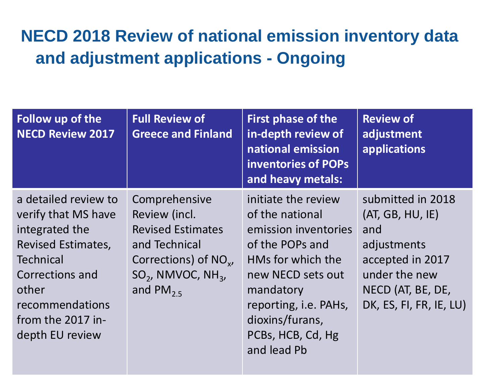#### **NECD 2018 Review of national emission inventory data and adjustment applications - Ongoing**

| Follow up of the<br><b>NECD Review 2017</b>                                                                                                                                                           | <b>Full Review of</b><br><b>Greece and Finland</b>                                                                                                             | <b>First phase of the</b><br>in-depth review of<br>national emission<br>inventories of POPs<br>and heavy metals:                                                                                                                | <b>Review of</b><br>adjustment<br>applications                                                                                                   |
|-------------------------------------------------------------------------------------------------------------------------------------------------------------------------------------------------------|----------------------------------------------------------------------------------------------------------------------------------------------------------------|---------------------------------------------------------------------------------------------------------------------------------------------------------------------------------------------------------------------------------|--------------------------------------------------------------------------------------------------------------------------------------------------|
| a detailed review to<br>verify that MS have<br>integrated the<br><b>Revised Estimates,</b><br><b>Technical</b><br>Corrections and<br>other<br>recommendations<br>from the 2017 in-<br>depth EU review | Comprehensive<br>Review (incl.<br><b>Revised Estimates</b><br>and Technical<br>Corrections) of $NO_{v}$ ,<br>$SO2$ , NMVOC, NH <sub>3</sub> ,<br>and $PM_{25}$ | initiate the review<br>of the national<br>emission inventories<br>of the POPs and<br>HMs for which the<br>new NECD sets out<br>mandatory<br>reporting, <i>i.e.</i> PAHs,<br>dioxins/furans,<br>PCBs, HCB, Cd, Hg<br>and lead Pb | submitted in 2018<br>(AT, GB, HU, IE)<br>and<br>adjustments<br>accepted in 2017<br>under the new<br>NECD (AT, BE, DE,<br>DK, ES, FI, FR, IE, LU) |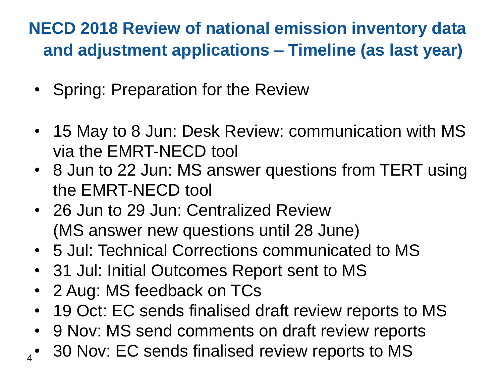#### **NECD 2018 Review of national emission inventory data and adjustment applications – Timeline (as last year)**

- Spring: Preparation for the Review
- 15 May to 8 Jun: Desk Review: communication with MS via the EMRT-NECD tool
- 8 Jun to 22 Jun: MS answer questions from TERT using the EMRT-NECD tool
- 26 Jun to 29 Jun: Centralized Review (MS answer new questions until 28 June)
- 5 Jul: Technical Corrections communicated to MS
- 31 Jul: Initial Outcomes Report sent to MS
- 2 Aug: MS feedback on TCs

4

- 19 Oct: EC sends finalised draft review reports to MS
- 9 Nov: MS send comments on draft review reports
- 30 Nov: EC sends finalised review reports to MS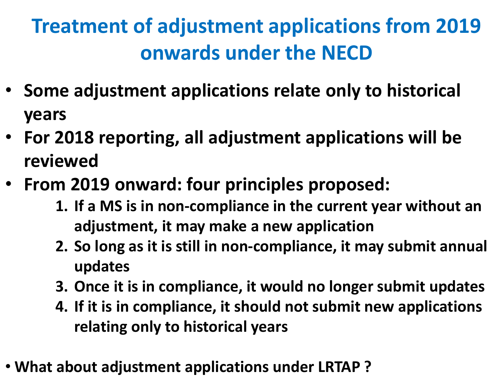## **Treatment of adjustment applications from 2019 onwards under the NECD**

- **Some adjustment applications relate only to historical years**
- **For 2018 reporting, all adjustment applications will be reviewed**
- **From 2019 onward: four principles proposed:**
	- **1. If a MS is in non-compliance in the current year without an adjustment, it may make a new application**
	- **2. So long as it is still in non-compliance, it may submit annual updates**
	- **3. Once it is in compliance, it would no longer submit updates**
	- **4. If it is in compliance, it should not submit new applications relating only to historical years**
- **What about adjustment applications under LRTAP ?**